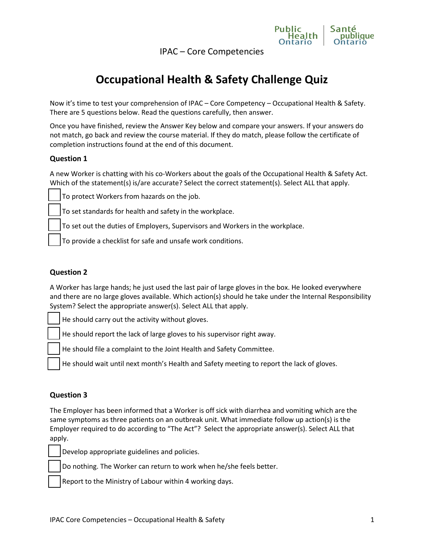IPAC – Core Competencies



# **Occupational Health & Safety Challenge Quiz**

Now it's time to test your comprehension of IPAC – Core Competency – Occupational Health & Safety. There are 5 questions below. Read the questions carefully, then answer.

Once you have finished, review the Answer Key below and compare your answers. If your answers do not match, go back and review the course material. If they do match, please follow the certificate of completion instructions found at the end of this document.

## **Question 1**

A new Worker is chatting with his co-Workers about the goals of the Occupational Health & Safety Act. Which of the statement(s) is/are accurate? Select the correct statement(s). Select ALL that apply.

To protect Workers from hazards on the job.

To set standards for health and safety in the workplace.

To set out the duties of Employers, Supervisors and Workers in the workplace.

To provide a checklist for safe and unsafe work conditions.

### **Question 2**

A Worker has large hands; he just used the last pair of large gloves in the box. He looked everywhere and there are no large gloves available. Which action(s) should he take under the Internal Responsibility System? Select the appropriate answer(s). Select ALL that apply.

He should carry out the activity without gloves.

He should report the lack of large gloves to his supervisor right away.

He should file a complaint to the Joint Health and Safety Committee.

He should wait until next month's Health and Safety meeting to report the lack of gloves.

## **Question 3**

The Employer has been informed that a Worker is off sick with diarrhea and vomiting which are the same symptoms as three patients on an outbreak unit. What immediate follow up action(s) is the Employer required to do according to "The Act"? Select the appropriate answer(s). Select ALL that apply.

Develop appropriate guidelines and policies.

Do nothing. The Worker can return to work when he/she feels better.

Report to the Ministry of Labour within 4 working days.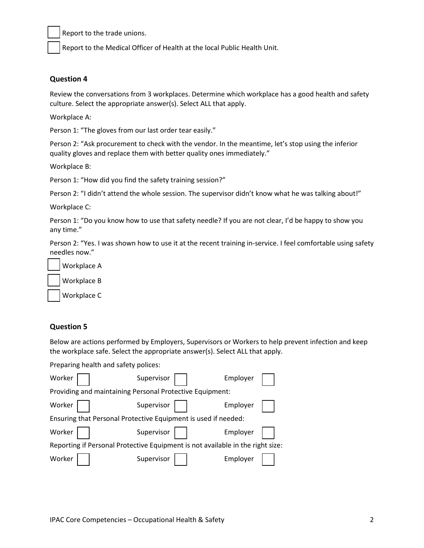Report to the trade unions.

Report to the Medical Officer of Health at the local Public Health Unit.

#### **Question 4**

Review the conversations from 3 workplaces. Determine which workplace has a good health and safety culture. Select the appropriate answer(s). Select ALL that apply.

Workplace A:

Person 1: "The gloves from our last order tear easily."

Person 2: "Ask procurement to check with the vendor. In the meantime, let's stop using the inferior quality gloves and replace them with better quality ones immediately."

Workplace B:

Person 1: "How did you find the safety training session?"

Person 2: "I didn't attend the whole session. The supervisor didn't know what he was talking about!"

Workplace C:

Person 1: "Do you know how to use that safety needle? If you are not clear, I'd be happy to show you any time."

Person 2: "Yes. I was shown how to use it at the recent training in-service. I feel comfortable using safety needles now."

Workplace A

Workplace B

Workplace C

#### **Question 5**

Below are actions performed by Employers, Supervisors or Workers to help prevent infection and keep the workplace safe. Select the appropriate answer(s). Select ALL that apply.

| Preparing health and safety polices:                                           |            |          |
|--------------------------------------------------------------------------------|------------|----------|
| Worker                                                                         | Supervisor | Employer |
| Providing and maintaining Personal Protective Equipment:                       |            |          |
| Worker                                                                         | Supervisor | Employer |
| Ensuring that Personal Protective Equipment is used if needed:                 |            |          |
| Worker                                                                         | Supervisor | Employer |
| Reporting if Personal Protective Equipment is not available in the right size: |            |          |
| Worker                                                                         | Supervisor | Employer |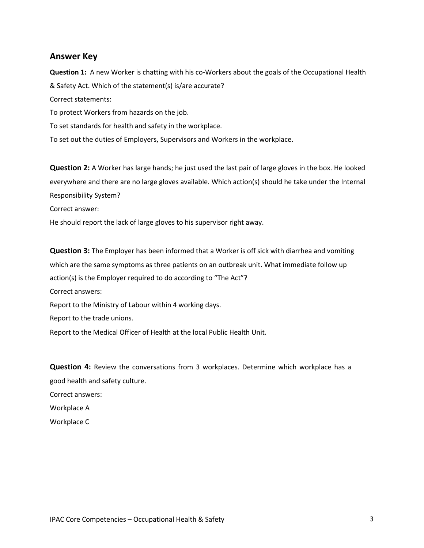## **Answer Key**

**Question 1:** A new Worker is chatting with his co-Workers about the goals of the Occupational Health & Safety Act. Which of the statement(s) is/are accurate? Correct statements: To protect Workers from hazards on the job. To set standards for health and safety in the workplace. To set out the duties of Employers, Supervisors and Workers in the workplace.

**Question 2:** A Worker has large hands; he just used the last pair of large gloves in the box. He looked everywhere and there are no large gloves available. Which action(s) should he take under the Internal Responsibility System? Correct answer: He should report the lack of large gloves to his supervisor right away.

**Question 3:** The Employer has been informed that a Worker is off sick with diarrhea and vomiting which are the same symptoms as three patients on an outbreak unit. What immediate follow up action(s) is the Employer required to do according to "The Act"? Correct answers: Report to the Ministry of Labour within 4 working days. Report to the trade unions. Report to the Medical Officer of Health at the local Public Health Unit.

**Question 4:** Review the conversations from 3 [workplaces. Det](mailto:ipac@oahpp.ca)ermine which workplace has a good health and safety culture. Correct answers: Workplace A Workplace C